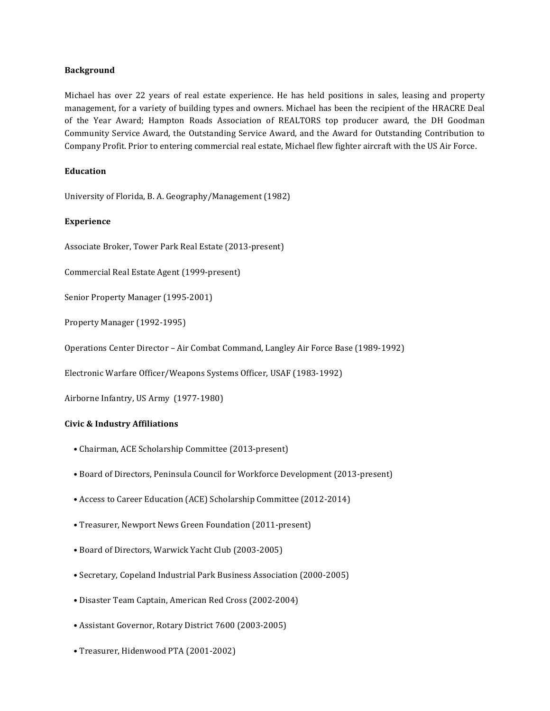## **Background**

Michael has over 22 years of real estate experience. He has held positions in sales, leasing and property management, for a variety of building types and owners. Michael has been the recipient of the HRACRE Deal of the Year Award; Hampton Roads Association of REALTORS top producer award, the DH Goodman Community Service Award, the Outstanding Service Award, and the Award for Outstanding Contribution to Company Profit. Prior to entering commercial real estate, Michael flew fighter aircraft with the US Air Force.

## **Education**

University of Florida, B. A. Geography/Management (1982)

## **Experience**

Associate Broker, Tower Park Real Estate (2013-present)

Commercial Real Estate Agent (1999-present)

Senior Property Manager (1995-2001)

Property Manager (1992-1995)

Operations Center Director - Air Combat Command, Langley Air Force Base (1989-1992)

Electronic Warfare Officer/Weapons Systems Officer, USAF (1983-1992)

Airborne Infantry, US Army (1977-1980)

## **Civic & Industry Affiliations**

- Chairman, ACE Scholarship Committee (2013-present)
- Board of Directors, Peninsula Council for Workforce Development (2013-present)
- Access to Career Education (ACE) Scholarship Committee (2012-2014)
- Treasurer, Newport News Green Foundation (2011-present)
- Board of Directors, Warwick Yacht Club (2003-2005)
- Secretary, Copeland Industrial Park Business Association (2000-2005)
- Disaster Team Captain, American Red Cross (2002-2004)
- Assistant Governor, Rotary District 7600 (2003-2005)
- Treasurer, Hidenwood PTA (2001-2002)